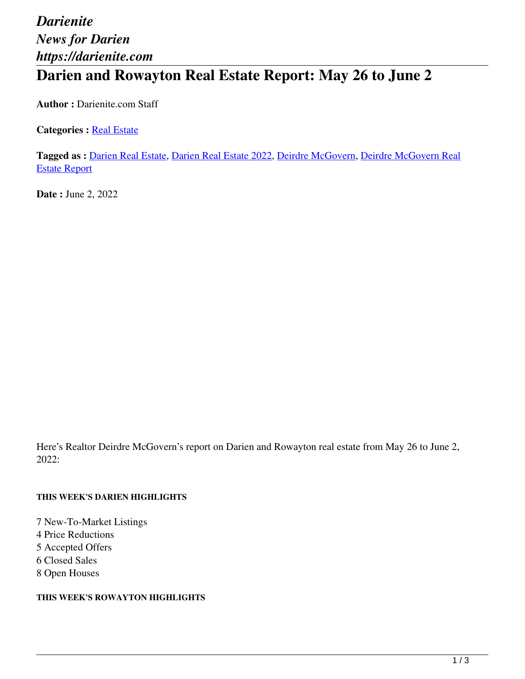# *Darienite News for Darien https://darienite.com* **Darien and Rowayton Real Estate Report: May 26 to June 2**

**Author :** Darienite.com Staff

**Categories : [Real Estate](https://darienite.com/category/real-estate)** 

**Tagged as :** Darien Real Estate, Darien Real Estate 2022, Deirdre McGovern, Deirdre McGovern Real Estate Report

**Date :** June 2, 2022

Here's Realtor Deirdre McGovern's report on Darien and Rowayton real estate from May 26 to June 2, 2022:

#### **THIS WEEK'S DARIEN HIGHLIGHTS**

7 New-To-Market Listings 4 Price Reductions 5 Accepted Offers 6 Closed Sales 8 Open Houses

#### **THIS WEEK'S ROWAYTON HIGHLIGHTS**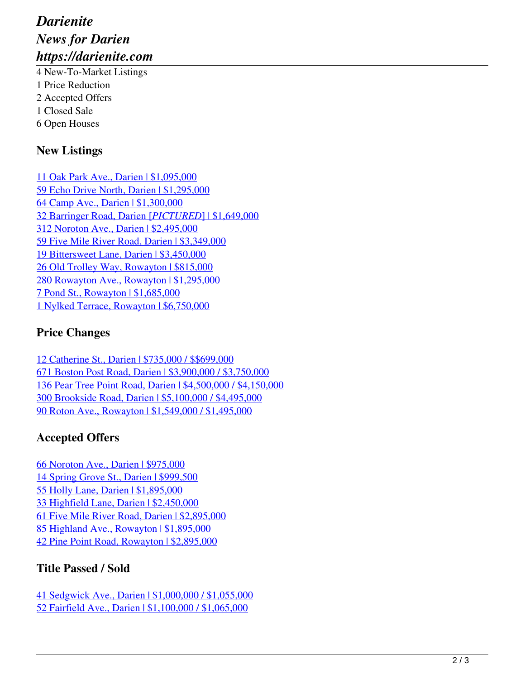# *Darienite News for Darien https://darienite.com*

4 New-To-Market Listings 1 Price Reduction 2 Accepted Offers 1 Closed Sale 6 Open Houses

### **New Listings**

11 Oak Park Ave., Darien | \$1,095,000 59 Echo Drive North, Darien | \$1,295,000 64 Camp Ave., Darien | \$1,300,000 32 Barringer Road, Darien [*PICTURED*] | \$1,649,000 312 Noroton Ave., Darien | \$2,495,000 59 Five Mile River Road, Darien | \$3,349,000 19 Bittersweet Lane, Darien | \$3,450,000 26 Old Trolley Way, Rowayton | \$815,000 280 Rowayton Ave., Rowayton | \$1,295,000 7 Pond St., Rowayton | \$1,685,000 1 Nylked Terrace, Rowayton | \$6,750,000

### **Price Changes**

12 Catherine St., Darien | \$735,000 / \$\$699,000 671 Boston Post Road, Darien | \$3,900,000 / \$3,750,000 136 Pear Tree Point Road, Darien | \$4,500,000 / \$4,150,000 300 Brookside Road, Darien | \$5,100,000 / \$4,495,000 90 Roton Ave., Rowayton | \$1,549,000 / \$1,495,000

## **Accepted Offers**

66 Noroton Ave., Darien | \$975,000 14 Spring Grove St., Darien | \$999,500 55 Holly Lane, Darien | \$1,895,000 33 Highfield Lane, Darien | \$2,450,000 61 Five Mile River Road, Darien | \$2,895,000 85 Highland Ave., Rowayton | \$1,895,000 42 Pine Point Road, Rowayton | \$2,895,000

### **Title Passed / Sold**

41 Sedgwick Ave., Darien | \$1,000,000 / \$1,055,000 52 Fairfield Ave., Darien | \$1,100,000 / \$1,065,000